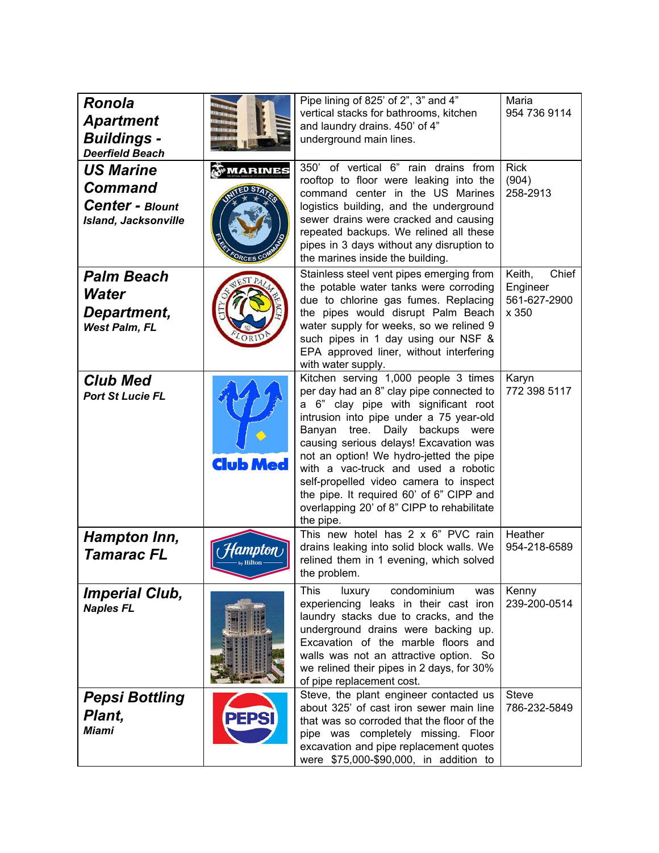| <b>Ronola</b><br><b>Apartment</b><br><b>Buildings -</b><br><b>Deerfield Beach</b>           |                               | Pipe lining of 825' of 2", 3" and 4"<br>vertical stacks for bathrooms, kitchen<br>and laundry drains. 450' of 4"<br>underground main lines.                                                                                                                                                                                                                                                                                                                                         | Maria<br>954 736 9114                                |
|---------------------------------------------------------------------------------------------|-------------------------------|-------------------------------------------------------------------------------------------------------------------------------------------------------------------------------------------------------------------------------------------------------------------------------------------------------------------------------------------------------------------------------------------------------------------------------------------------------------------------------------|------------------------------------------------------|
| <b>US Marine</b><br><b>Command</b><br><b>Center - Blount</b><br><b>Island, Jacksonville</b> | MARINES<br>ORCES <sup>C</sup> | 350' of vertical 6" rain drains from<br>rooftop to floor were leaking into the<br>command center in the US Marines<br>logistics building, and the underground<br>sewer drains were cracked and causing<br>repeated backups. We relined all these<br>pipes in 3 days without any disruption to<br>the marines inside the building.                                                                                                                                                   | <b>Rick</b><br>(904)<br>258-2913                     |
| <b>Palm Beach</b><br>Water<br>Department,<br><b>West Palm, FL</b>                           |                               | Stainless steel vent pipes emerging from<br>the potable water tanks were corroding<br>due to chlorine gas fumes. Replacing<br>the pipes would disrupt Palm Beach<br>water supply for weeks, so we relined 9<br>such pipes in 1 day using our NSF &<br>EPA approved liner, without interfering<br>with water supply.                                                                                                                                                                 | Keith,<br>Chief<br>Engineer<br>561-627-2900<br>x 350 |
| <b>Club Med</b><br><b>Port St Lucie FL</b>                                                  | <b>Club Med</b>               | Kitchen serving 1,000 people 3 times<br>per day had an 8" clay pipe connected to<br>a 6" clay pipe with significant root<br>intrusion into pipe under a 75 year-old<br>Banyan tree. Daily backups were<br>causing serious delays! Excavation was<br>not an option! We hydro-jetted the pipe<br>with a vac-truck and used a robotic<br>self-propelled video camera to inspect<br>the pipe. It required 60' of 6" CIPP and<br>overlapping 20' of 8" CIPP to rehabilitate<br>the pipe. | Karyn<br>772 398 5117                                |
| <b>Hampton Inn,</b><br>Tamarac FL                                                           | MNTAI                         | This new hotel has 2 x 6" PVC rain<br>drains leaking into solid block walls. We<br>relined them in 1 evening, which solved<br>the problem.                                                                                                                                                                                                                                                                                                                                          | Heather<br>954-218-6589                              |
| <b>Imperial Club,</b><br><b>Naples FL</b>                                                   |                               | condominium<br>This<br>luxury<br>was<br>experiencing leaks in their cast iron<br>laundry stacks due to cracks, and the<br>underground drains were backing up.<br>Excavation of the marble floors and<br>walls was not an attractive option. So<br>we relined their pipes in 2 days, for 30%<br>of pipe replacement cost.                                                                                                                                                            | Kenny<br>239-200-0514                                |
| <b>Pepsi Bottling</b><br>Plant,<br><b>Miami</b>                                             | <b>PEPSI</b>                  | Steve, the plant engineer contacted us<br>about 325' of cast iron sewer main line<br>that was so corroded that the floor of the<br>pipe was completely missing. Floor<br>excavation and pipe replacement quotes<br>were \$75,000-\$90,000, in addition to                                                                                                                                                                                                                           | <b>Steve</b><br>786-232-5849                         |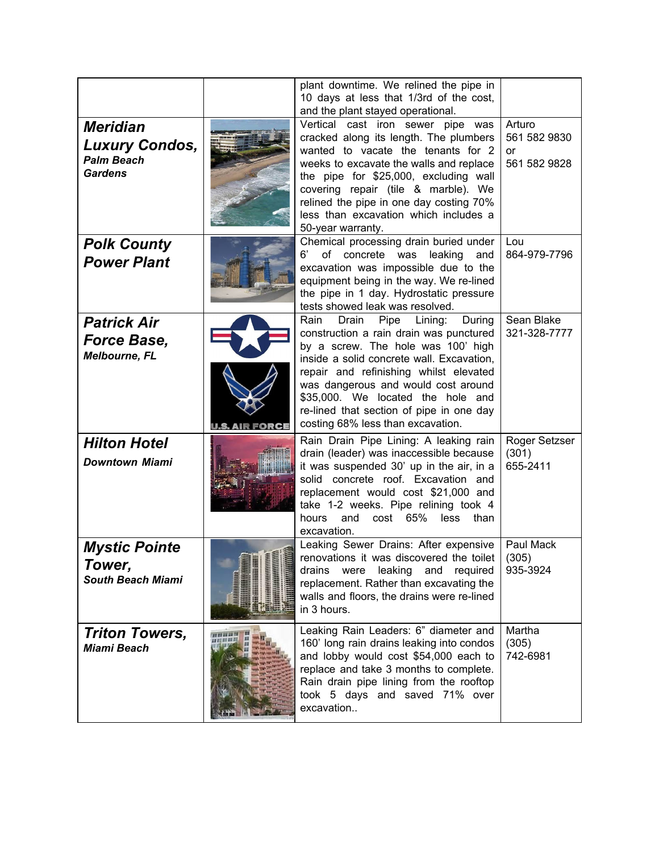|                                                                                 |                | plant downtime. We relined the pipe in<br>10 days at less that 1/3rd of the cost,<br>and the plant stayed operational.                                                                                                                                                                                                                                                          |                                              |
|---------------------------------------------------------------------------------|----------------|---------------------------------------------------------------------------------------------------------------------------------------------------------------------------------------------------------------------------------------------------------------------------------------------------------------------------------------------------------------------------------|----------------------------------------------|
| <b>Meridian</b><br><b>Luxury Condos,</b><br><b>Palm Beach</b><br><b>Gardens</b> |                | Vertical cast iron sewer pipe was<br>cracked along its length. The plumbers<br>wanted to vacate the tenants for 2<br>weeks to excavate the walls and replace<br>the pipe for \$25,000, excluding wall<br>covering repair (tile & marble). We<br>relined the pipe in one day costing 70%<br>less than excavation which includes a<br>50-year warranty.                           | Arturo<br>561 582 9830<br>or<br>561 582 9828 |
| <b>Polk County</b><br><b>Power Plant</b>                                        |                | Chemical processing drain buried under<br>6'<br>of concrete was<br>leaking<br>and<br>excavation was impossible due to the<br>equipment being in the way. We re-lined<br>the pipe in 1 day. Hydrostatic pressure<br>tests showed leak was resolved.                                                                                                                              | Lou<br>864-979-7796                          |
| <b>Patrick Air</b><br><b>Force Base,</b><br><b>Melbourne, FL</b>                | U.S. AIR FORCE | Rain<br>Drain<br>Pipe<br>Lining:<br>During<br>construction a rain drain was punctured<br>by a screw. The hole was 100' high<br>inside a solid concrete wall. Excavation,<br>repair and refinishing whilst elevated<br>was dangerous and would cost around<br>\$35,000. We located the hole and<br>re-lined that section of pipe in one day<br>costing 68% less than excavation. | Sean Blake<br>321-328-7777                   |
| <b>Hilton Hotel</b><br><b>Downtown Miami</b>                                    |                | Rain Drain Pipe Lining: A leaking rain<br>drain (leader) was inaccessible because<br>it was suspended 30' up in the air, in a<br>solid concrete roof. Excavation and<br>replacement would cost \$21,000 and<br>take 1-2 weeks. Pipe relining took 4<br>65%<br>and<br>hours<br>cost<br>less<br>than<br>excavation.                                                               | Roger Setzser<br>(301)<br>655-2411           |
| <b>Mystic Pointe</b><br>Tower,<br><b>South Beach Miami</b>                      |                | Leaking Sewer Drains: After expensive<br>renovations it was discovered the toilet<br>were leaking and required<br>drains<br>replacement. Rather than excavating the<br>walls and floors, the drains were re-lined<br>in 3 hours.                                                                                                                                                | Paul Mack<br>(305)<br>935-3924               |
| <b>Triton Towers,</b><br><b>Miami Beach</b>                                     |                | Leaking Rain Leaders: 6" diameter and<br>160' long rain drains leaking into condos<br>and lobby would cost \$54,000 each to<br>replace and take 3 months to complete.<br>Rain drain pipe lining from the rooftop<br>took 5 days and saved 71% over<br>excavation                                                                                                                | Martha<br>(305)<br>742-6981                  |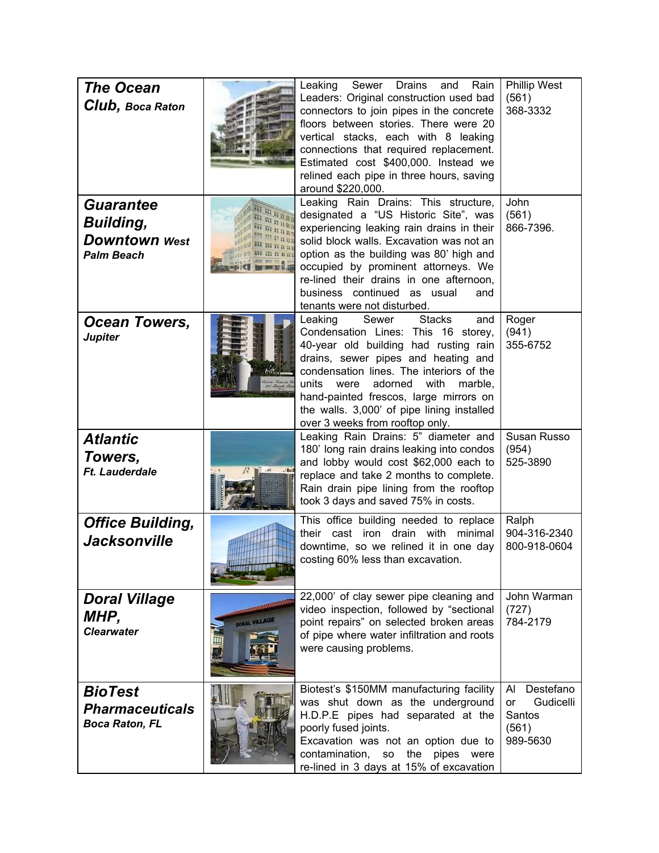| <b>The Ocean</b><br><b>Club, Boca Raton</b>                                       |                     | Leaking<br>Sewer Drains<br>Rain<br>and<br>Leaders: Original construction used bad<br>connectors to join pipes in the concrete<br>floors between stories. There were 20<br>vertical stacks, each with 8 leaking<br>connections that required replacement.<br>Estimated cost \$400,000. Instead we<br>relined each pipe in three hours, saving<br>around \$220,000.                     | <b>Phillip West</b><br>(561)<br>368-3332                          |
|-----------------------------------------------------------------------------------|---------------------|---------------------------------------------------------------------------------------------------------------------------------------------------------------------------------------------------------------------------------------------------------------------------------------------------------------------------------------------------------------------------------------|-------------------------------------------------------------------|
| <b>Guarantee</b><br><b>Building,</b><br><b>Downtown</b> West<br><b>Palm Beach</b> |                     | Leaking Rain Drains: This structure,<br>designated a "US Historic Site", was<br>experiencing leaking rain drains in their<br>solid block walls. Excavation was not an<br>option as the building was 80' high and<br>occupied by prominent attorneys. We<br>re-lined their drains in one afternoon,<br>business continued as usual<br>and<br>tenants were not disturbed.               | John<br>(561)<br>866-7396.                                        |
| Ocean Towers,<br><b>Jupiter</b>                                                   |                     | Sewer<br><b>Stacks</b><br>Leaking<br>and<br>Condensation Lines: This 16 storey,<br>40-year old building had rusting rain<br>drains, sewer pipes and heating and<br>condensation lines. The interiors of the<br>units<br>adorned<br>with<br>were<br>marble,<br>hand-painted frescos, large mirrors on<br>the walls. 3,000' of pipe lining installed<br>over 3 weeks from rooftop only. | Roger<br>(941)<br>355-6752                                        |
| <b>Atlantic</b><br>Towers,<br><b>Ft. Lauderdale</b>                               |                     | Leaking Rain Drains: 5" diameter and<br>180' long rain drains leaking into condos<br>and lobby would cost \$62,000 each to<br>replace and take 2 months to complete.<br>Rain drain pipe lining from the rooftop<br>took 3 days and saved 75% in costs.                                                                                                                                | Susan Russo<br>(954)<br>525-3890                                  |
| <b>Office Building,</b><br><b>Jacksonville</b>                                    |                     | This office building needed to replace<br>their cast iron drain with minimal<br>downtime, so we relined it in one day<br>costing 60% less than excavation.                                                                                                                                                                                                                            | Ralph<br>904-316-2340<br>800-918-0604                             |
| <b>Doral Village</b><br>MHP,<br><b>Clearwater</b>                                 | <b>ORAL VILLAGE</b> | 22,000' of clay sewer pipe cleaning and<br>video inspection, followed by "sectional<br>point repairs" on selected broken areas<br>of pipe where water infiltration and roots<br>were causing problems.                                                                                                                                                                                | John Warman<br>(727)<br>784-2179                                  |
| <b>BioTest</b><br><b>Pharmaceuticals</b><br><b>Boca Raton, FL</b>                 |                     | Biotest's \$150MM manufacturing facility<br>was shut down as the underground<br>H.D.P.E pipes had separated at the<br>poorly fused joints.<br>Excavation was not an option due to<br>contamination,<br>the<br>pipes<br>so<br>were<br>re-lined in 3 days at 15% of excavation                                                                                                          | Destefano<br>AI<br>Gudicelli<br>or<br>Santos<br>(561)<br>989-5630 |